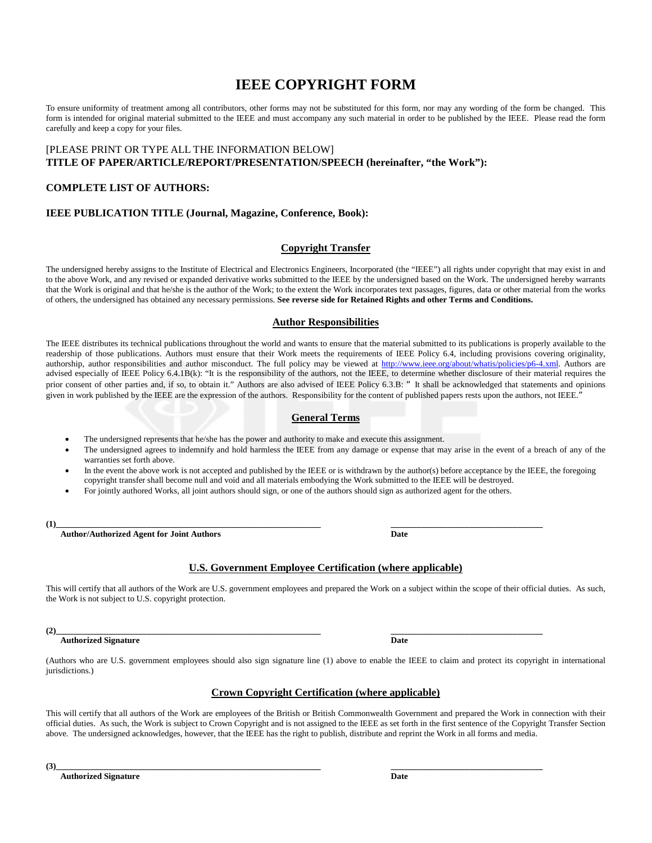# **IEEE COPYRIGHT FORM**

To ensure uniformity of treatment among all contributors, other forms may not be substituted for this form, nor may any wording of the form be changed. This form is intended for original material submitted to the IEEE and must accompany any such material in order to be published by the IEEE. Please read the form carefully and keep a copy for your files.

# [PLEASE PRINT OR TYPE ALL THE INFORMATION BELOW] **TITLE OF PAPER/ARTICLE/REPORT/PRESENTATION/SPEECH (hereinafter, "the Work"):**

# **COMPLETE LIST OF AUTHORS:**

### **IEEE PUBLICATION TITLE (Journal, Magazine, Conference, Book):**

### **Copyright Transfer**

The undersigned hereby assigns to the Institute of Electrical and Electronics Engineers, Incorporated (the "IEEE") all rights under copyright that may exist in and to the above Work, and any revised or expanded derivative works submitted to the IEEE by the undersigned based on the Work. The undersigned hereby warrants that the Work is original and that he/she is the author of the Work; to the extent the Work incorporates text passages, figures, data or other material from the works of others, the undersigned has obtained any necessary permissions. **See reverse side for Retained Rights and other Terms and Conditions.**

### **Author Responsibilities**

The IEEE distributes its technical publications throughout the world and wants to ensure that the material submitted to its publications is properly available to the readership of those publications. Authors must ensure that their Work meets the requirements of IEEE Policy 6.4, including provisions covering originality, authorship, author responsibilities and author misconduct. The full policy may be viewed at <http://www.ieee.org/about/whatis/policies/p6-4.xml>. Authors are advised especially of IEEE Policy 6.4.1B(k): "It is the responsibility of the authors, not the IEEE, to determine whether disclosure of their material requires the prior consent of other parties and, if so, to obtain it." Authors are also advised of IEEE Policy 6.3.B: "It shall be acknowledged that statements and opinions given in work published by the IEEE are the expression of the authors. Responsibility for the content of published papers rests upon the authors, not IEEE."

# **General Terms**

- The undersigned represents that he/she has the power and authority to make and execute this assignment.
- The undersigned agrees to indemnify and hold harmless the IEEE from any damage or expense that may arise in the event of a breach of any of the warranties set forth above.
- In the event the above work is not accepted and published by the IEEE or is withdrawn by the author(s) before acceptance by the IEEE, the foregoing copyright transfer shall become null and void and all materials embodying the Work submitted to the IEEE will be destroyed.
- For jointly authored Works, all joint authors should sign, or one of the authors should sign as authorized agent for the others.

 $(1)$  , and the set of the set of the set of the set of the set of the set of the set of the set of the set of the set of the set of the set of the set of the set of the set of the set of the set of the set of the set of **Author/Authorized Agent for Joint Authors Date**

# **U.S. Government Employee Certification (where applicable)**

This will certify that all authors of the Work are U.S. government employees and prepared the Work on a subject within the scope of their official duties. As such, the Work is not subject to U.S. copyright protection.

### **Authorized Signature Date**

(Authors who are U.S. government employees should also sign signature line (1) above to enable the IEEE to claim and protect its copyright in international jurisdictions.)

### **Crown Copyright Certification (where applicable)**

This will certify that all authors of the Work are employees of the British or British Commonwealth Government and prepared the Work in connection with their official duties. As such, the Work is subject to Crown Copyright and is not assigned to the IEEE as set forth in the first sentence of the Copyright Transfer Section above. The undersigned acknowledges, however, that the IEEE has the right to publish, distribute and reprint the Work in all forms and media.

**(3)\_\_\_\_\_\_\_\_\_\_\_\_\_\_\_\_\_\_\_\_\_\_\_\_\_\_\_\_\_\_\_\_\_\_\_\_\_\_\_\_\_\_\_\_\_\_\_\_\_\_\_\_\_\_\_\_\_\_\_\_\_ \_\_\_\_\_\_\_\_\_\_\_\_\_\_\_\_\_\_\_\_\_\_\_\_\_\_\_\_\_\_\_\_\_\_\_** 

**Authorized Signature Date**

**(2)\_\_\_\_\_\_\_\_\_\_\_\_\_\_\_\_\_\_\_\_\_\_\_\_\_\_\_\_\_\_\_\_\_\_\_\_\_\_\_\_\_\_\_\_\_\_\_\_\_\_\_\_\_\_\_\_\_\_\_\_\_ \_\_\_\_\_\_\_\_\_\_\_\_\_\_\_\_\_\_\_\_\_\_\_\_\_\_\_\_\_\_\_\_\_\_\_**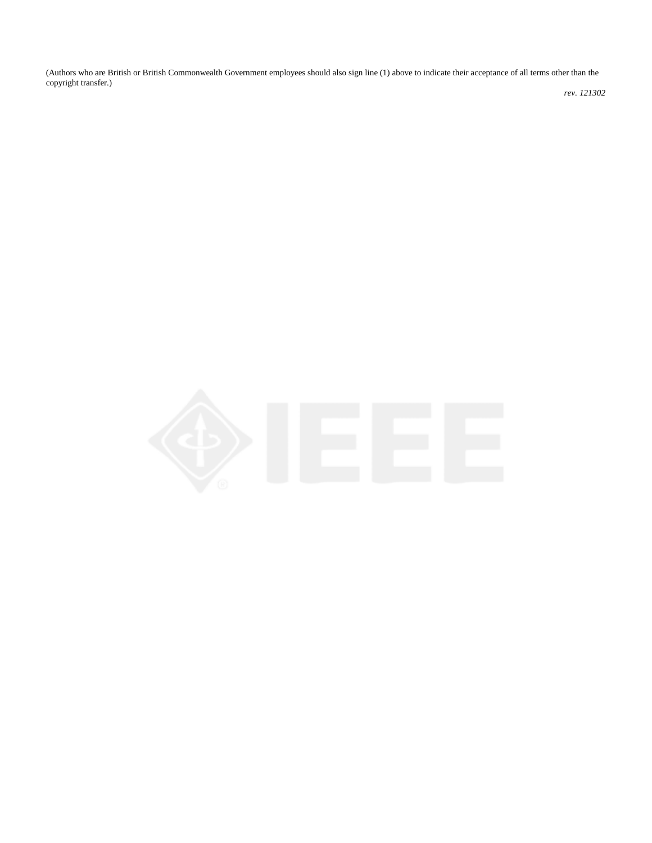(Authors who are British or British Commonwealth Government employees should also sign line (1) above to indicate their acceptance of all terms other than the copyright transfer.)

*rev. 121302*